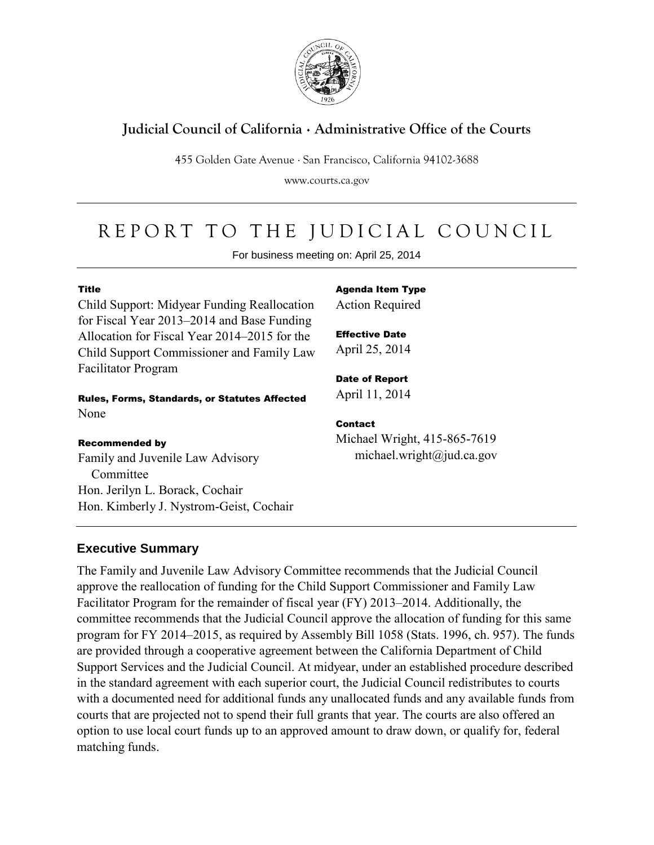

## **Judicial Council of California** . **Administrative Office of the Courts**

455 Golden Gate Avenue . San Francisco, California 94102-3688

www.courts.ca.gov

# REPORT TO THE JUDICIAL COUNCIL

For business meeting on: April 25, 2014

#### Title

Child Support: Midyear Funding Reallocation for Fiscal Year 2013–2014 and Base Funding Allocation for Fiscal Year 2014–2015 for the Child Support Commissioner and Family Law Facilitator Program

#### Rules, Forms, Standards, or Statutes Affected None

#### Recommended by

Family and Juvenile Law Advisory **Committee** Hon. Jerilyn L. Borack, Cochair Hon. Kimberly J. Nystrom-Geist, Cochair Agenda Item Type Action Required

Effective Date April 25, 2014

Date of Report April 11, 2014

#### Contact

Michael Wright, 415-865-7619 michael.wright@jud.ca.gov

## **Executive Summary**

The Family and Juvenile Law Advisory Committee recommends that the Judicial Council approve the reallocation of funding for the Child Support Commissioner and Family Law Facilitator Program for the remainder of fiscal year (FY) 2013–2014. Additionally, the committee recommends that the Judicial Council approve the allocation of funding for this same program for FY 2014–2015, as required by Assembly Bill 1058 (Stats. 1996, ch. 957). The funds are provided through a cooperative agreement between the California Department of Child Support Services and the Judicial Council. At midyear, under an established procedure described in the standard agreement with each superior court, the Judicial Council redistributes to courts with a documented need for additional funds any unallocated funds and any available funds from courts that are projected not to spend their full grants that year. The courts are also offered an option to use local court funds up to an approved amount to draw down, or qualify for, federal matching funds.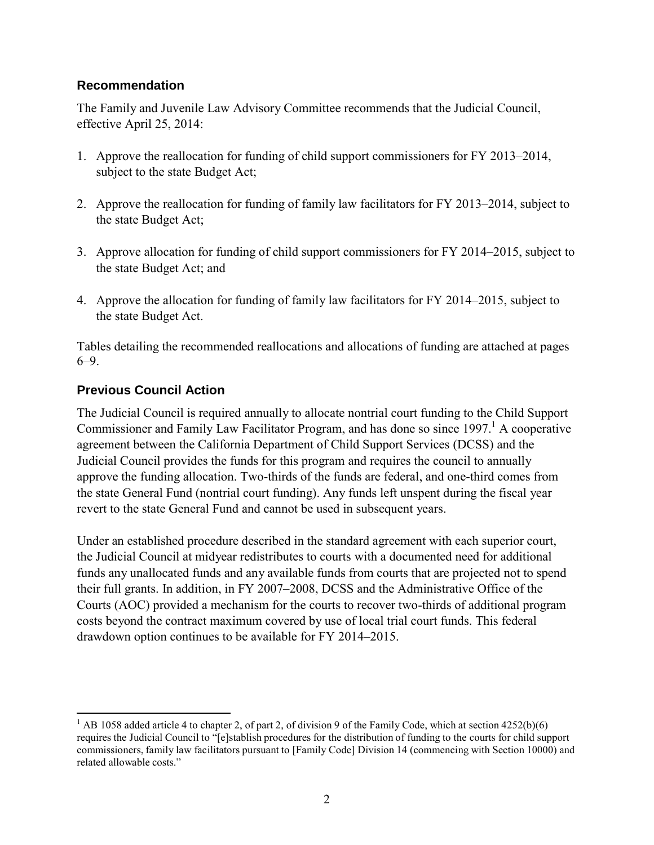### **Recommendation**

The Family and Juvenile Law Advisory Committee recommends that the Judicial Council, effective April 25, 2014:

- 1. Approve the reallocation for funding of child support commissioners for FY 2013–2014, subject to the state Budget Act;
- 2. Approve the reallocation for funding of family law facilitators for FY 2013–2014, subject to the state Budget Act;
- 3. Approve allocation for funding of child support commissioners for FY 2014–2015, subject to the state Budget Act; and
- 4. Approve the allocation for funding of family law facilitators for FY 2014–2015, subject to the state Budget Act.

Tables detailing the recommended reallocations and allocations of funding are attached at pages 6–9.

## **Previous Council Action**

The Judicial Council is required annually to allocate nontrial court funding to the Child Support Commissioner and Family Law Facilitator Program, and has done so since  $1997<sup>1</sup>$  A cooperative agreement between the California Department of Child Support Services (DCSS) and the Judicial Council provides the funds for this program and requires the council to annually approve the funding allocation. Two-thirds of the funds are federal, and one-third comes from the state General Fund (nontrial court funding). Any funds left unspent during the fiscal year revert to the state General Fund and cannot be used in subsequent years.

Under an established procedure described in the standard agreement with each superior court, the Judicial Council at midyear redistributes to courts with a documented need for additional funds any unallocated funds and any available funds from courts that are projected not to spend their full grants. In addition, in FY 2007–2008, DCSS and the Administrative Office of the Courts (AOC) provided a mechanism for the courts to recover two-thirds of additional program costs beyond the contract maximum covered by use of local trial court funds. This federal drawdown option continues to be available for FY 2014–2015.

 $\overline{a}$ <sup>1</sup> AB 1058 added article 4 to chapter 2, of part 2, of division 9 of the Family Code, which at section  $4252(b)(6)$ requires the Judicial Council to "[e]stablish procedures for the distribution of funding to the courts for child support commissioners, family law facilitators pursuant to [Family Code] Division 14 (commencing with Section 10000) and related allowable costs."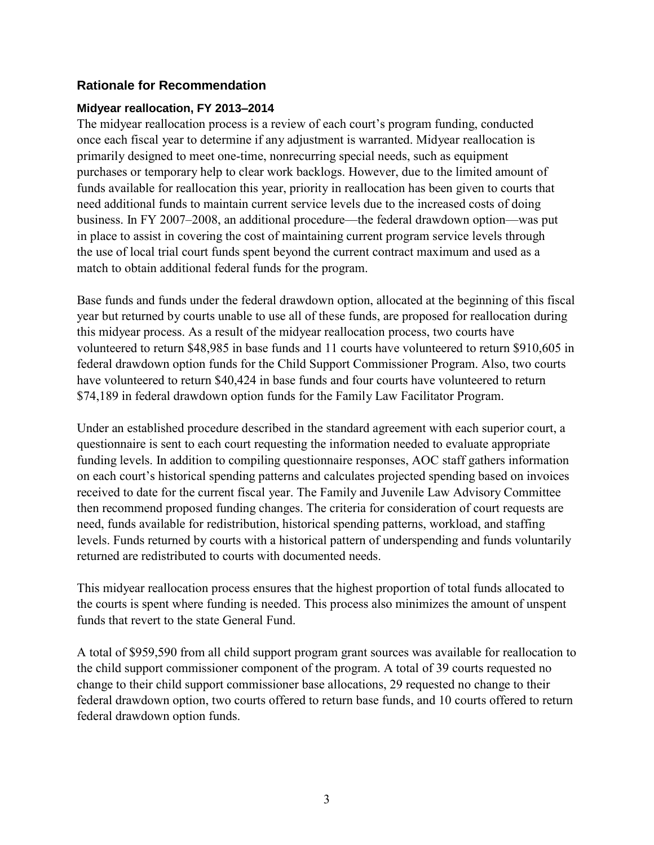## **Rationale for Recommendation**

#### **Midyear reallocation, FY 2013–2014**

The midyear reallocation process is a review of each court's program funding, conducted once each fiscal year to determine if any adjustment is warranted. Midyear reallocation is primarily designed to meet one-time, nonrecurring special needs, such as equipment purchases or temporary help to clear work backlogs. However, due to the limited amount of funds available for reallocation this year, priority in reallocation has been given to courts that need additional funds to maintain current service levels due to the increased costs of doing business. In FY 2007–2008, an additional procedure—the federal drawdown option—was put in place to assist in covering the cost of maintaining current program service levels through the use of local trial court funds spent beyond the current contract maximum and used as a match to obtain additional federal funds for the program.

Base funds and funds under the federal drawdown option, allocated at the beginning of this fiscal year but returned by courts unable to use all of these funds, are proposed for reallocation during this midyear process. As a result of the midyear reallocation process, two courts have volunteered to return \$48,985 in base funds and 11 courts have volunteered to return \$910,605 in federal drawdown option funds for the Child Support Commissioner Program. Also, two courts have volunteered to return \$40,424 in base funds and four courts have volunteered to return \$74,189 in federal drawdown option funds for the Family Law Facilitator Program.

Under an established procedure described in the standard agreement with each superior court, a questionnaire is sent to each court requesting the information needed to evaluate appropriate funding levels. In addition to compiling questionnaire responses, AOC staff gathers information on each court's historical spending patterns and calculates projected spending based on invoices received to date for the current fiscal year. The Family and Juvenile Law Advisory Committee then recommend proposed funding changes. The criteria for consideration of court requests are need, funds available for redistribution, historical spending patterns, workload, and staffing levels. Funds returned by courts with a historical pattern of underspending and funds voluntarily returned are redistributed to courts with documented needs.

This midyear reallocation process ensures that the highest proportion of total funds allocated to the courts is spent where funding is needed. This process also minimizes the amount of unspent funds that revert to the state General Fund.

A total of \$959,590 from all child support program grant sources was available for reallocation to the child support commissioner component of the program. A total of 39 courts requested no change to their child support commissioner base allocations, 29 requested no change to their federal drawdown option, two courts offered to return base funds, and 10 courts offered to return federal drawdown option funds.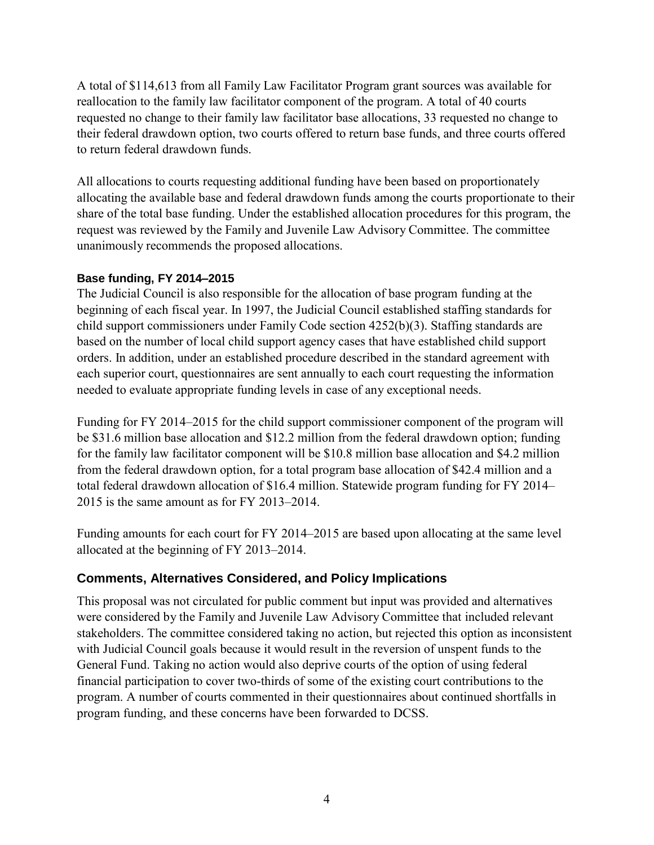A total of \$114,613 from all Family Law Facilitator Program grant sources was available for reallocation to the family law facilitator component of the program. A total of 40 courts requested no change to their family law facilitator base allocations, 33 requested no change to their federal drawdown option, two courts offered to return base funds, and three courts offered to return federal drawdown funds.

All allocations to courts requesting additional funding have been based on proportionately allocating the available base and federal drawdown funds among the courts proportionate to their share of the total base funding. Under the established allocation procedures for this program, the request was reviewed by the Family and Juvenile Law Advisory Committee. The committee unanimously recommends the proposed allocations.

#### **Base funding, FY 2014–2015**

The Judicial Council is also responsible for the allocation of base program funding at the beginning of each fiscal year. In 1997, the Judicial Council established staffing standards for child support commissioners under Family Code section 4252(b)(3). Staffing standards are based on the number of local child support agency cases that have established child support orders. In addition, under an established procedure described in the standard agreement with each superior court, questionnaires are sent annually to each court requesting the information needed to evaluate appropriate funding levels in case of any exceptional needs.

Funding for FY 2014–2015 for the child support commissioner component of the program will be \$31.6 million base allocation and \$12.2 million from the federal drawdown option; funding for the family law facilitator component will be \$10.8 million base allocation and \$4.2 million from the federal drawdown option, for a total program base allocation of \$42.4 million and a total federal drawdown allocation of \$16.4 million. Statewide program funding for FY 2014– 2015 is the same amount as for FY 2013–2014.

Funding amounts for each court for FY 2014–2015 are based upon allocating at the same level allocated at the beginning of FY 2013–2014.

## **Comments, Alternatives Considered, and Policy Implications**

This proposal was not circulated for public comment but input was provided and alternatives were considered by the Family and Juvenile Law Advisory Committee that included relevant stakeholders. The committee considered taking no action, but rejected this option as inconsistent with Judicial Council goals because it would result in the reversion of unspent funds to the General Fund. Taking no action would also deprive courts of the option of using federal financial participation to cover two-thirds of some of the existing court contributions to the program. A number of courts commented in their questionnaires about continued shortfalls in program funding, and these concerns have been forwarded to DCSS.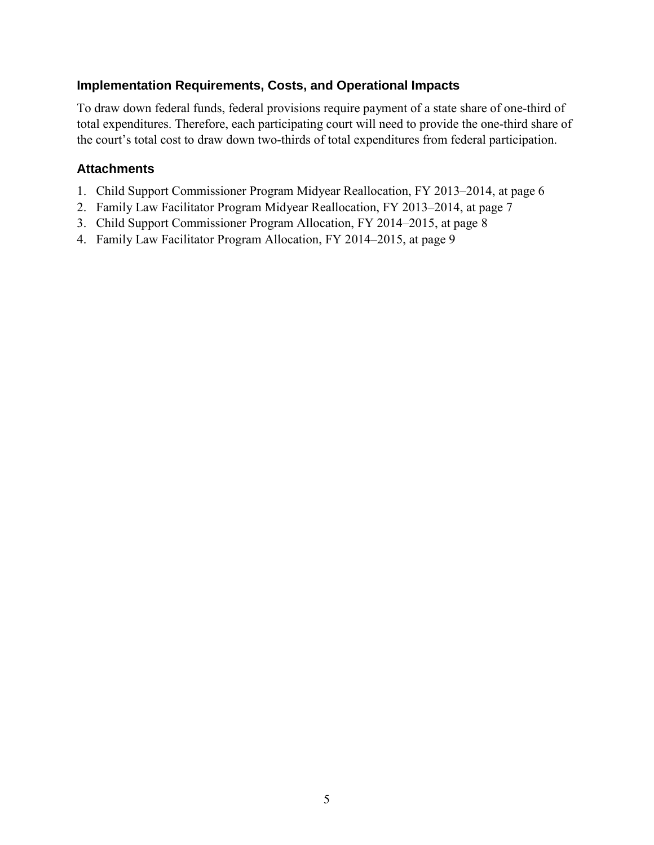## **Implementation Requirements, Costs, and Operational Impacts**

To draw down federal funds, federal provisions require payment of a state share of one-third of total expenditures. Therefore, each participating court will need to provide the one-third share of the court's total cost to draw down two-thirds of total expenditures from federal participation.

## **Attachments**

- 1. Child Support Commissioner Program Midyear Reallocation, FY 2013–2014, at page 6
- 2. Family Law Facilitator Program Midyear Reallocation, FY 2013–2014, at page 7
- 3. Child Support Commissioner Program Allocation, FY 2014–2015, at page 8
- 4. Family Law Facilitator Program Allocation, FY 2014–2015, at page 9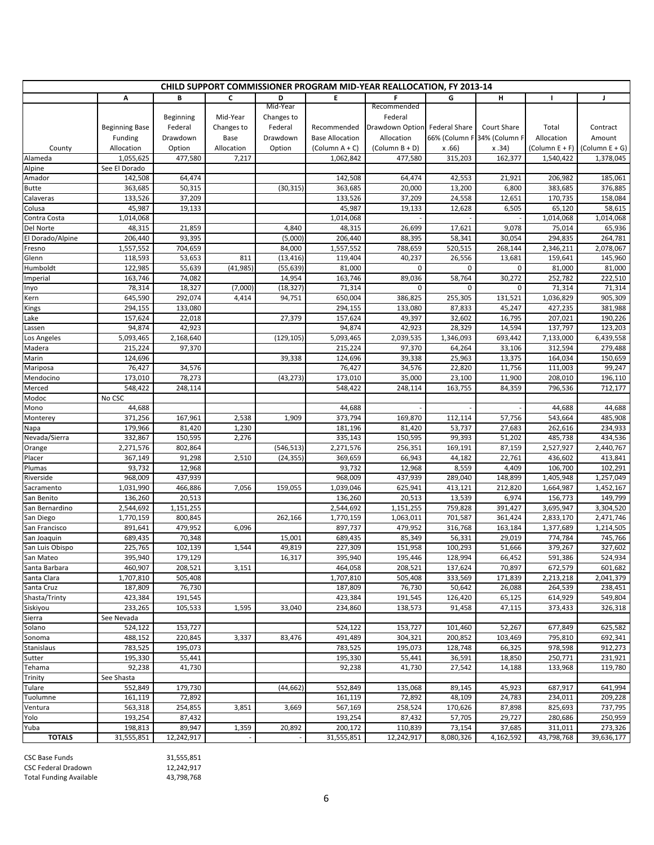| <b>CHILD SUPPORT COMMISSIONER PROGRAM MID-YEAR REALLOCATION, FY 2013-14</b> |                          |                      |            |            |                        |                               |                   |                             |                        |                        |
|-----------------------------------------------------------------------------|--------------------------|----------------------|------------|------------|------------------------|-------------------------------|-------------------|-----------------------------|------------------------|------------------------|
|                                                                             | A                        | В                    | C          | D          | E.                     | F                             | G                 | H                           | Τ.                     | J                      |
|                                                                             |                          |                      |            | Mid-Year   |                        | Recommended                   |                   |                             |                        |                        |
|                                                                             |                          | Beginning            | Mid-Year   | Changes to |                        | Federal                       |                   |                             |                        |                        |
|                                                                             | <b>Beginning Base</b>    | Federal              | Changes to | Federal    | Recommended            | Drawdown Option Federal Share |                   | Court Share                 | Total                  | Contract               |
|                                                                             | Funding                  | Drawdown             | Base       | Drawdown   | <b>Base Allocation</b> | Allocation                    |                   | 66% (Column F 34% (Column F | Allocation             | Amount                 |
| County                                                                      | Allocation               | Option               | Allocation | Option     | $(Column A + C)$       | $(Column B + D)$              | x.66              | x.34)                       | (Column $E + F$ )      | (Column E + G)         |
| Alameda                                                                     | 1,055,625                | 477,580              | 7,217      |            | 1,062,842              | 477,580                       | 315,203           | 162,377                     | 1,540,422              | 1,378,045              |
| Alpine<br>Amador                                                            | See El Dorado<br>142,508 | 64,474               |            |            | 142,508                | 64,474                        | 42,553            | 21,921                      | 206,982                | 185,061                |
| Butte                                                                       | 363,685                  | 50,315               |            | (30, 315)  | 363,685                | 20,000                        | 13,200            | 6,800                       | 383,685                | 376,885                |
| Calaveras                                                                   | 133,526                  | 37,209               |            |            | 133,526                | 37,209                        | 24,558            | 12,651                      | 170,735                | 158,084                |
| Colusa                                                                      | 45,987                   | 19,133               |            |            | 45,987                 | 19,133                        | 12,628            | 6,505                       | 65,120                 | 58,615                 |
| Contra Costa                                                                | 1,014,068                |                      |            |            | 1,014,068              |                               |                   |                             | 1,014,068              | 1,014,068              |
| Del Norte                                                                   | 48,315                   | 21,859               |            | 4,840      | 48,315                 | 26,699                        | 17,621            | 9,078                       | 75,014                 | 65,936                 |
| El Dorado/Alpine                                                            | 206,440                  | 93,395               |            | (5,000)    | 206,440                | 88,395                        | 58,341            | 30,054                      | 294,835                | 264,781                |
| Fresno                                                                      | 1,557,552                | 704,659              |            | 84,000     | 1,557,552              | 788,659                       | 520,515           | 268,144                     | 2,346,211              | 2,078,067              |
| Glenn                                                                       | 118,593                  | 53,653               | 811        | (13, 416)  | 119,404                | 40,237                        | 26,556            | 13,681                      | 159,641                | 145,960                |
| Humboldt                                                                    | 122,985                  | 55,639               | (41, 985)  | (55, 639)  | 81,000                 | 0                             | 0                 | 0                           | 81,000                 | 81,000                 |
| Imperial                                                                    | 163,746                  | 74,082               |            | 14,954     | 163,746                | 89,036                        | 58,764            | 30,272                      | 252,782                | 222,510                |
| Inyo                                                                        | 78,314                   | 18,327               | (7,000)    | (18, 327)  | 71,314                 | 0                             | 0                 | 0                           | 71,314                 | 71,314                 |
| Kern                                                                        | 645,590                  | 292,074              | 4,414      | 94,751     | 650,004                | 386,825                       | 255,305           | 131,521                     | 1,036,829              | 905,309                |
| Kings                                                                       | 294,155                  | 133,080              |            |            | 294,155                | 133,080                       | 87,833            | 45,247                      | 427,235                | 381,988                |
| Lake                                                                        | 157,624                  | 22,018               |            | 27,379     | 157,624                | 49,397                        | 32,602            | 16,795                      | 207,021                | 190,226                |
| Lassen                                                                      | 94,874                   | 42,923               |            |            | 94,874                 | 42,923                        | 28,329            | 14,594                      | 137,797                | 123,203                |
| Los Angeles                                                                 | 5,093,465                | 2,168,640<br>97,370  |            | (129, 105) | 5,093,465<br>215,224   | 2,039,535<br>97,370           | 1,346,093         | 693,442                     | 7,133,000              | 6,439,558<br>279,488   |
| Madera<br>Marin                                                             | 215,224<br>124,696       |                      |            | 39,338     | 124,696                | 39,338                        | 64,264<br>25,963  | 33,106<br>13,375            | 312,594<br>164,034     | 150,659                |
| Mariposa                                                                    | 76,427                   | 34,576               |            |            | 76,427                 | 34,576                        | 22,820            | 11,756                      | 111,003                | 99,247                 |
| Mendocino                                                                   | 173,010                  | 78,273               |            | (43, 273)  | 173,010                | 35,000                        | 23,100            | 11,900                      | 208,010                | 196,110                |
| Merced                                                                      | 548,422                  | 248,114              |            |            | 548,422                | 248,114                       | 163,755           | 84,359                      | 796,536                | 712,177                |
| Modoc                                                                       | No CSC                   |                      |            |            |                        |                               |                   |                             |                        |                        |
| Mono                                                                        | 44,688                   |                      |            |            | 44,688                 |                               |                   |                             | 44,688                 | 44,688                 |
| Monterey                                                                    | 371,256                  | 167,961              | 2,538      | 1,909      | 373,794                | 169,870                       | 112,114           | 57,756                      | 543,664                | 485,908                |
| Napa                                                                        | 179,966                  | 81,420               | 1,230      |            | 181,196                | 81,420                        | 53,737            | 27,683                      | 262,616                | 234,933                |
| Nevada/Sierra                                                               | 332,867                  | 150,595              | 2,276      |            | 335,143                | 150,595                       | 99,393            | 51,202                      | 485,738                | 434,536                |
| Orange                                                                      | 2,271,576                | 802,864              |            | (546, 513) | 2,271,576              | 256,351                       | 169,191           | 87,159                      | 2,527,927              | 2,440,767              |
| Placer                                                                      | 367,149                  | 91,298               | 2,510      | (24, 355)  | 369,659                | 66,943                        | 44,182            | 22,761                      | 436,602                | 413,841                |
| Plumas                                                                      | 93,732                   | 12,968               |            |            | 93,732                 | 12,968                        | 8,559             | 4,409                       | 106,700                | 102,291                |
| Riverside                                                                   | 968,009                  | 437,939              |            |            | 968,009                | 437,939                       | 289,040           | 148,899                     | 1,405,948              | 1,257,049              |
| Sacramento                                                                  | 1,031,990                | 466,886              | 7,056      | 159,055    | 1,039,046              | 625,941                       | 413,121           | 212,820                     | 1,664,987              | 1,452,167              |
| San Benito                                                                  | 136,260<br>2,544,692     | 20,513               |            |            | 136,260                | 20,513<br>1,151,255           | 13,539<br>759,828 | 6,974<br>391,427            | 156,773                | 149,799                |
| San Bernardino<br>San Diego                                                 | 1,770,159                | 1,151,255<br>800,845 |            | 262,166    | 2,544,692<br>1,770,159 | 1,063,011                     | 701,587           | 361,424                     | 3,695,947<br>2,833,170 | 3,304,520<br>2,471,746 |
| San Francisco                                                               | 891,641                  | 479,952              | 6,096      |            | 897,737                | 479,952                       | 316,768           | 163,184                     | 1,377,689              | 1,214,505              |
| San Joaquin                                                                 | 689,435                  | 70,348               |            | 15,001     | 689,435                | 85,349                        | 56,331            | 29,019                      | 774,784                | 745,766                |
| San Luis Obispo                                                             | 225,765                  | 102,139              | 1,544      | 49,819     | 227,309                | 151,958                       | 100,293           | 51,666                      | 379,267                | 327,602                |
| San Mateo                                                                   | 395,940                  | 179,129              |            | 16,317     | 395,940                | 195,446                       | 128,994           | 66,452                      | 591,386                | 524,934                |
| Santa Barbara                                                               | 460,907                  | 208,521              | 3,151      |            | 464,058                | 208,521                       | 137,624           | 70,897                      | 672,579                | 601,682                |
| Santa Clara                                                                 | 1,707,810                | 505,408              |            |            | 1,707,810              | 505,408                       | 333,569           | 171,839                     | 2,213,218              | 2,041,379              |
| Santa Cruz                                                                  | 187,809                  | 76,730               |            |            | 187,809                | 76,730                        | 50.642            | 26,088                      | 264,539                | 238,451                |
| Shasta/Trinty                                                               | 423,384                  | 191,545              |            |            | 423,384                | 191,545                       | 126,420           | 65,125                      | 614,929                | 549,804                |
| Siskiyou                                                                    | 233,265                  | 105,533              | 1,595      | 33,040     | 234,860                | 138,573                       | 91,458            | 47,115                      | 373,433                | 326,318                |
| Sierra                                                                      | See Nevada               |                      |            |            |                        |                               |                   |                             |                        |                        |
| Solano                                                                      | 524,122                  | 153,727              |            |            | 524,122                | 153,727                       | 101,460           | 52,267                      | 677,849                | 625,582                |
| Sonoma                                                                      | 488,152                  | 220,845              | 3,337      | 83,476     | 491,489                | 304,321                       | 200,852           | 103,469                     | 795,810                | 692,341                |
| Stanislaus                                                                  | 783,525                  | 195,073              |            |            | 783,525                | 195,073                       | 128,748           | 66,325                      | 978,598                | 912,273                |
| Sutter                                                                      | 195,330                  | 55,441               |            |            | 195,330                | 55,441                        | 36,591            | 18,850                      | 250,771                | 231,921                |
| Tehama<br>Trinity                                                           | 92,238<br>See Shasta     | 41,730               |            |            | 92,238                 | 41,730                        | 27,542            | 14,188                      | 133,968                | 119,780                |
| Tulare                                                                      | 552,849                  | 179,730              |            | (44, 662)  | 552,849                | 135,068                       | 89,145            | 45,923                      | 687,917                | 641,994                |
| Tuolumne                                                                    | 161,119                  | 72,892               |            |            | 161,119                | 72,892                        | 48,109            | 24,783                      | 234,011                | 209,228                |
| Ventura                                                                     | 563,318                  | 254,855              | 3,851      | 3,669      | 567,169                | 258,524                       | 170,626           | 87,898                      | 825,693                | 737,795                |
| Yolo                                                                        | 193,254                  | 87,432               |            |            | 193,254                | 87,432                        | 57,705            | 29,727                      | 280,686                | 250,959                |
| Yuba                                                                        | 198,813                  | 89,947               | 1,359      | 20,892     | 200,172                | 110,839                       | 73,154            | 37,685                      | 311,011                | 273,326                |
| <b>TOTALS</b>                                                               | 31,555,851               | 12,242,917           |            |            | 31,555,851             | 12,242,917                    | 8,080,326         | 4,162,592                   | 43,798,768             | 39,636,177             |

CSC Base Funds<br>
CSC Federal Dradown<br>
12,242,917 CSC Federal Dradown 12,242,917<br>Total Funding Available 43,798,768 Total Funding Available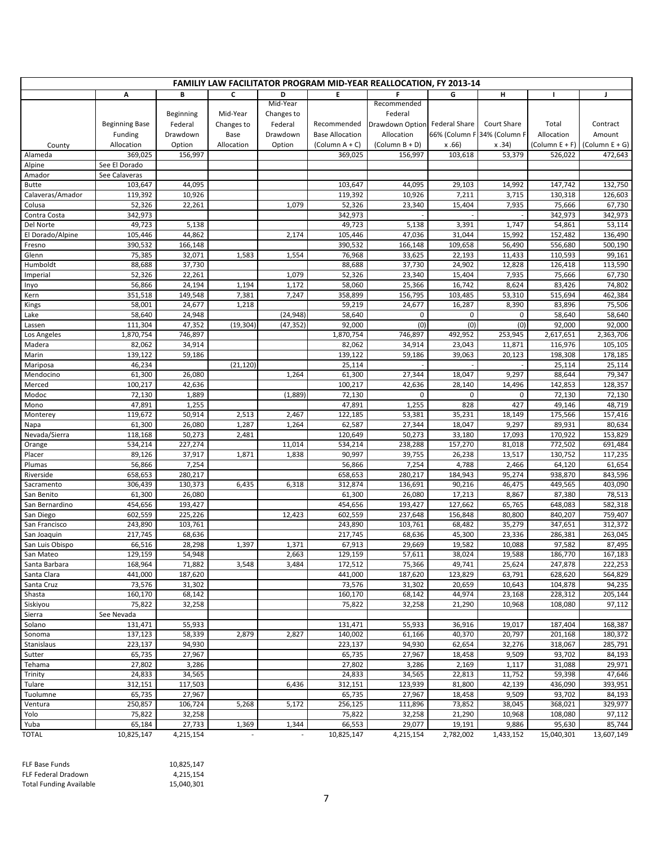| <b>FAMILIY LAW FACILITATOR PROGRAM MID-YEAR REALLOCATION, FY 2013-14</b> |                       |                   |            |            |                        |                               |                   |                             |                    |                    |
|--------------------------------------------------------------------------|-----------------------|-------------------|------------|------------|------------------------|-------------------------------|-------------------|-----------------------------|--------------------|--------------------|
|                                                                          | A                     | В                 | C          | D          | E                      | F                             | G                 | н                           | I.                 | J                  |
|                                                                          |                       |                   |            | Mid-Year   |                        | Recommended                   |                   |                             |                    |                    |
|                                                                          |                       | Beginning         | Mid-Year   | Changes to |                        | Federal                       |                   |                             |                    |                    |
|                                                                          | <b>Beginning Base</b> | Federal           | Changes to | Federal    | Recommended            | Drawdown Option Federal Share |                   | Court Share                 | Total              | Contract           |
|                                                                          | Funding               | Drawdown          | Base       | Drawdown   | <b>Base Allocation</b> | Allocation                    |                   | 66% (Column F 34% (Column F | Allocation         | Amount             |
| County                                                                   | Allocation            | Option            | Allocation | Option     | $(Column A + C)$       | (Column $B + D$ )             | x.66              | x.34)                       | (Column E + F)     | (Column $E + G$ )  |
| Alameda                                                                  | 369,025               | 156,997           |            |            | 369,025                | 156,997                       | 103,618           | 53,379                      | 526,022            | 472,643            |
| Alpine                                                                   | See El Dorado         |                   |            |            |                        |                               |                   |                             |                    |                    |
| Amador                                                                   | See Calaveras         |                   |            |            |                        |                               |                   |                             |                    |                    |
| Butte                                                                    | 103,647               | 44,095            |            |            | 103,647                | 44,095                        | 29,103            | 14,992                      | 147,742            | 132,750            |
| Calaveras/Amador                                                         | 119,392               | 10,926            |            |            | 119,392                | 10,926                        | 7,211             | 3,715                       | 130,318            | 126,603            |
| Colusa                                                                   | 52,326                | 22,261            |            | 1,079      | 52,326                 | 23,340                        | 15,404            | 7,935                       | 75,666             | 67,730             |
| Contra Costa                                                             | 342,973               |                   |            |            | 342,973                |                               |                   |                             | 342,973            | 342,973            |
| Del Norte                                                                | 49,723                | 5,138             |            |            | 49,723                 | 5,138                         | 3,391             | 1,747                       | 54,861             | 53,114             |
| El Dorado/Alpine                                                         | 105,446<br>390,532    | 44,862            |            | 2,174      | 105,446<br>390,532     | 47,036<br>166,148             | 31,044<br>109,658 | 15,992<br>56,490            | 152,482<br>556,680 | 136,490<br>500,190 |
| Fresno                                                                   | 75,385                | 166,148<br>32,071 | 1,583      | 1,554      | 76,968                 | 33,625                        | 22,193            | 11,433                      | 110,593            | 99,161             |
| Glenn<br>Humboldt                                                        | 88,688                | 37,730            |            |            | 88,688                 | 37,730                        | 24,902            | 12,828                      | 126,418            | 113,590            |
| Imperial                                                                 | 52,326                | 22,261            |            | 1,079      | 52,326                 | 23,340                        | 15,404            | 7,935                       | 75,666             | 67,730             |
| Inyo                                                                     | 56,866                | 24,194            | 1,194      | 1,172      | 58,060                 | 25,366                        | 16,742            | 8,624                       | 83,426             | 74,802             |
| Kern                                                                     | 351,518               | 149,548           | 7,381      | 7,247      | 358,899                | 156,795                       | 103,485           | 53,310                      | 515,694            | 462,384            |
| Kings                                                                    | 58,001                | 24,677            | 1,218      |            | 59,219                 | 24,677                        | 16,287            | 8,390                       | 83,896             | 75,506             |
| Lake                                                                     | 58,640                | 24,948            |            | (24, 948)  | 58,640                 | 0                             | 0                 | 0                           | 58,640             | 58,640             |
| Lassen                                                                   | 111,304               | 47,352            | (19, 304)  | (47, 352)  | 92,000                 | (0)                           | (0)               | (0)                         | 92,000             | 92,000             |
| Los Angeles                                                              | 1,870,754             | 746,897           |            |            | 1,870,754              | 746,897                       | 492,952           | 253,945                     | 2,617,651          | 2,363,706          |
| Madera                                                                   | 82,062                | 34,914            |            |            | 82,062                 | 34,914                        | 23,043            | 11,871                      | 116,976            | 105,105            |
| Marin                                                                    | 139,122               | 59,186            |            |            | 139,122                | 59,186                        | 39,063            | 20,123                      | 198,308            | 178,185            |
| Mariposa                                                                 | 46,234                |                   | (21, 120)  |            | 25,114                 |                               |                   |                             | 25,114             | 25,114             |
| Mendocino                                                                | 61,300                | 26,080            |            | 1,264      | 61,300                 | 27,344                        | 18,047            | 9,297                       | 88,644             | 79,347             |
| Merced                                                                   | 100,217               | 42,636            |            |            | 100,217                | 42,636                        | 28,140            | 14,496                      | 142,853            | 128,357            |
| Modoc                                                                    | 72,130                | 1,889             |            | (1,889)    | 72,130                 | $\mathbf 0$                   | $\mathbf 0$       | $\mathbf 0$                 | 72,130             | 72,130             |
| Mono                                                                     | 47,891                | 1,255             |            |            | 47,891                 | 1,255                         | 828               | 427                         | 49,146             | 48,719             |
| Monterey                                                                 | 119,672               | 50,914            | 2,513      | 2,467      | 122,185                | 53,381                        | 35,231            | 18,149                      | 175,566            | 157,416            |
| Napa                                                                     | 61,300                | 26,080            | 1,287      | 1,264      | 62,587                 | 27,344                        | 18,047            | 9,297                       | 89,931             | 80,634             |
| Nevada/Sierra                                                            | 118,168               | 50,273            | 2,481      |            | 120,649                | 50,273                        | 33,180            | 17,093                      | 170,922            | 153,829            |
| Orange                                                                   | 534,214               | 227,274           |            | 11,014     | 534,214                | 238,288                       | 157,270           | 81,018                      | 772,502            | 691,484            |
| Placer                                                                   | 89,126                | 37,917            | 1,871      | 1,838      | 90,997                 | 39,755                        | 26,238            | 13,517                      | 130,752            | 117,235            |
| Plumas                                                                   | 56,866                | 7,254             |            |            | 56,866                 | 7,254                         | 4,788             | 2,466                       | 64,120             | 61,654             |
| Riverside                                                                | 658,653               | 280,217           |            |            | 658,653                | 280,217                       | 184,943           | 95,274                      | 938,870            | 843,596            |
| Sacramento                                                               | 306,439               | 130,373           | 6,435      | 6,318      | 312,874                | 136,691                       | 90,216            | 46,475                      | 449,565            | 403,090            |
| San Benito                                                               | 61,300                | 26,080            |            |            | 61,300                 | 26,080                        | 17,213            | 8,867                       | 87,380             | 78,513             |
| San Bernardino                                                           | 454,656               | 193,427           |            |            | 454,656                | 193,427                       | 127,662           | 65,765                      | 648,083            | 582,318            |
| San Diego                                                                | 602,559               | 225,226           |            | 12,423     | 602,559                | 237,648                       | 156,848           | 80,800                      | 840,207            | 759,407            |
| San Francisco                                                            | 243,890               | 103,761           |            |            | 243,890                | 103,761                       | 68,482            | 35,279                      | 347,651            | 312,372            |
| San Joaquin                                                              | 217,745               | 68,636            |            |            | 217,745                | 68,636                        | 45,300            | 23,336                      | 286,381            | 263,045            |
| San Luis Obispo<br>San Mateo                                             | 66,516                | 28,298<br>54,948  | 1,397      | 1,371      | 67,913                 | 29,669                        | 19,582            | 10,088                      | 97,582             | 87,495             |
|                                                                          | 129,159               |                   |            | 2,663      | 129,159                | 57,611                        | 38,024            | 19,588                      | 186,770            | 167,183            |
| Santa Barbara<br>Santa Clara                                             | 168,964<br>441,000    | 71,882<br>187,620 | 3,548      | 3,484      | 172,512<br>441,000     | 75,366<br>187,620             | 49,741<br>123,829 | 25,624<br>63,791            | 247,878<br>628,620 | 222,253<br>564,829 |
| Santa Cruz                                                               | 73,576                | 31,302            |            |            | 73,576                 | 31,302                        | 20,659            | 10,643                      | 104,878            | 94,235             |
| Shasta                                                                   | 160,170               | 68,142            |            |            | 160,170                | 68,142                        | 44,974            | 23,168                      | 228,312            | 205,144            |
| Siskiyou                                                                 | 75,822                | 32,258            |            |            | 75,822                 | 32,258                        | 21,290            | 10,968                      | 108,080            | 97,112             |
| Sierra                                                                   | See Nevada            |                   |            |            |                        |                               |                   |                             |                    |                    |
| Solano                                                                   | 131,471               | 55,933            |            |            | 131,471                | 55,933                        | 36,916            | 19,017                      | 187,404            | 168,387            |
| Sonoma                                                                   | 137,123               | 58,339            | 2,879      | 2,827      | 140,002                | 61,166                        | 40,370            | 20,797                      | 201,168            | 180,372            |
| Stanislaus                                                               | 223,137               | 94,930            |            |            | 223,137                | 94,930                        | 62,654            | 32,276                      | 318,067            | 285,791            |
| Sutter                                                                   | 65,735                | 27,967            |            |            | 65,735                 | 27,967                        | 18,458            | 9,509                       | 93,702             | 84,193             |
| Tehama                                                                   | 27,802                | 3,286             |            |            | 27,802                 | 3,286                         | 2,169             | 1,117                       | 31,088             | 29,971             |
| Trinity                                                                  | 24,833                | 34,565            |            |            | 24,833                 | 34,565                        | 22,813            | 11,752                      | 59,398             | 47,646             |
| Tulare                                                                   | 312,151               | 117,503           |            | 6,436      | 312,151                | 123,939                       | 81,800            | 42,139                      | 436,090            | 393,951            |
| Tuolumne                                                                 | 65,735                | 27,967            |            |            | 65,735                 | 27,967                        | 18,458            | 9,509                       | 93,702             | 84,193             |
| Ventura                                                                  | 250,857               | 106,724           | 5,268      | 5,172      | 256,125                | 111,896                       | 73,852            | 38,045                      | 368,021            | 329,977            |
| Yolo                                                                     | 75,822                | 32,258            |            |            | 75,822                 | 32,258                        | 21,290            | 10,968                      | 108,080            | 97,112             |
| Yuba                                                                     | 65,184                | 27,733            | 1,369      | 1,344      | 66,553                 | 29,077                        | 19,191            | 9,886                       | 95,630             | 85,744             |
| <b>TOTAL</b>                                                             | 10,825,147            | 4,215,154         |            |            | 10,825,147             | 4,215,154                     | 2,782,002         | 1,433,152                   | 15,040,301         | 13,607,149         |

| FLF Base Funds                 | 10.825.147 |
|--------------------------------|------------|
| <b>FLF Federal Dradown</b>     | 4.215.154  |
| <b>Total Funding Available</b> | 15.040.301 |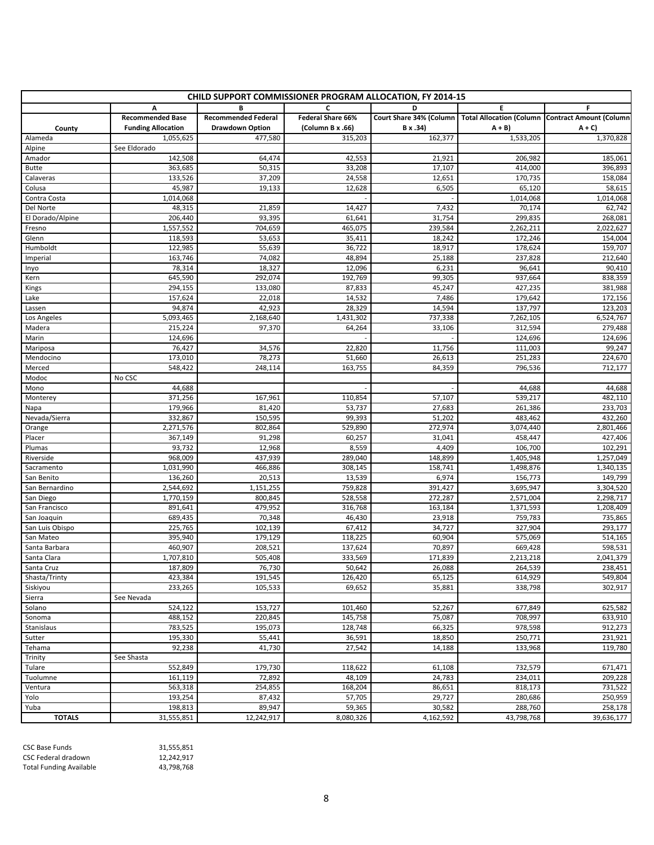| CHILD SUPPORT COMMISSIONER PROGRAM ALLOCATION, FY 2014-15 |                           |                            |                   |                         |            |                                                           |
|-----------------------------------------------------------|---------------------------|----------------------------|-------------------|-------------------------|------------|-----------------------------------------------------------|
|                                                           | А                         |                            | C                 | D                       | Е          | F                                                         |
|                                                           | <b>Recommended Base</b>   | <b>Recommended Federal</b> | Federal Share 66% | Court Share 34% (Column |            | <b>Total Allocation (Column   Contract Amount (Column</b> |
| County                                                    | <b>Funding Allocation</b> | <b>Drawdown Option</b>     | (Column B x .66)  | B x .34)                | $A + B$    | $A + C$                                                   |
| Alameda                                                   | 1,055,625                 | 477,580                    | 315,203           | 162,377                 | 1,533,205  | 1,370,828                                                 |
| Alpine                                                    | See Eldorado              |                            |                   |                         |            |                                                           |
| Amador                                                    | 142,508                   | 64,474                     | 42,553            | 21,921                  | 206,982    | 185,061                                                   |
| <b>Butte</b>                                              | 363,685                   | 50,315                     | 33,208            | 17,107                  | 414.000    | 396,893                                                   |
| Calaveras                                                 | 133,526                   | 37,209                     | 24,558            | 12,651                  | 170,735    | 158,084                                                   |
| Colusa                                                    | 45,987                    | 19,133                     | 12,628            | 6,505                   | 65,120     | 58,615                                                    |
| Contra Costa                                              | 1,014,068                 |                            |                   |                         | 1,014,068  | 1,014,068                                                 |
| Del Norte                                                 | 48,315                    | 21,859                     | 14,427            | 7,432                   | 70,174     | 62,742                                                    |
| El Dorado/Alpine                                          | 206,440                   | 93,395                     | 61,641            | 31,754                  | 299,835    | 268,081                                                   |
| Fresno                                                    | 1,557,552                 | 704,659                    | 465,075           | 239,584                 | 2,262,211  | 2,022,627                                                 |
| Glenn                                                     | 118,593                   | 53,653                     | 35,411            | 18,242                  | 172,246    | 154,004                                                   |
| Humboldt                                                  | 122,985                   | 55,639                     | 36,722            | 18,917                  | 178,624    | 159,707                                                   |
| Imperial                                                  | 163,746                   | 74,082                     | 48,894            | 25,188                  | 237,828    | 212,640                                                   |
| Inyo                                                      | 78,314                    | 18,327                     | 12,096            | 6,231                   | 96,641     | 90,410                                                    |
| Kern                                                      | 645,590                   | 292,074                    | 192,769           | 99,305                  | 937,664    | 838,359                                                   |
| Kings                                                     | 294,155                   | 133,080                    | 87,833            | 45,247                  | 427,235    | 381,988                                                   |
| Lake                                                      | 157,624                   | 22,018                     | 14,532            | 7,486                   | 179,642    | 172,156                                                   |
| Lassen                                                    | 94,874                    | 42,923                     | 28,329            | 14,594                  | 137,797    | 123,203                                                   |
| Los Angeles                                               | 5,093,465                 | 2,168,640                  | 1,431,302         | 737,338                 | 7,262,105  | 6,524,767                                                 |
| Madera                                                    | 215,224                   | 97,370                     | 64,264            | 33,106                  | 312,594    | 279,488                                                   |
| Marin                                                     | 124,696                   |                            |                   |                         | 124,696    | 124,696                                                   |
| Mariposa                                                  | 76,427                    | 34,576                     | 22,820            | 11,756                  | 111,003    | 99,247                                                    |
| Mendocino                                                 | 173,010                   | 78,273                     | 51,660            | 26,613                  | 251,283    | 224,670                                                   |
| Merced                                                    | 548,422                   | 248,114                    | 163,755           | 84,359                  | 796,536    | 712,177                                                   |
| Modoc                                                     | No CSC                    |                            |                   |                         |            |                                                           |
| Mono                                                      | 44,688                    |                            |                   |                         | 44,688     | 44,688                                                    |
| Monterey                                                  | 371,256                   | 167,961                    | 110,854           | 57,107                  | 539,217    | 482,110                                                   |
| Napa                                                      | 179,966                   | 81,420                     | 53,737            | 27,683                  | 261,386    | 233,703                                                   |
| Nevada/Sierra                                             | 332,867                   | 150,595                    | 99,393            | 51,202                  | 483,462    | 432,260                                                   |
| Orange                                                    | 2,271,576                 | 802,864                    | 529,890           | 272,974                 | 3,074,440  | 2,801,466                                                 |
| Placer                                                    | 367,149                   | 91,298                     | 60,257            | 31,041                  | 458,447    | 427,406                                                   |
| Plumas                                                    | 93,732                    | 12,968                     | 8,559             | 4,409                   | 106,700    | 102,291                                                   |
| Riverside                                                 | 968,009                   | 437,939                    | 289,040           | 148,899                 | 1,405,948  | 1,257,049                                                 |
| Sacramento                                                | 1,031,990                 | 466,886                    | 308,145           | 158,741                 | 1,498,876  | 1,340,135                                                 |
| San Benito                                                | 136,260                   | 20,513                     | 13,539            | 6,974                   | 156,773    | 149,799                                                   |
| San Bernardino                                            | 2,544,692                 | 1,151,255                  | 759,828           | 391,427                 | 3,695,947  | 3,304,520                                                 |
| San Diego                                                 | 1,770,159                 | 800,845                    | 528,558           | 272,287                 | 2,571,004  | 2,298,717                                                 |
| San Francisco                                             | 891,641                   | 479,952                    | 316,768           | 163,184                 | 1,371,593  | 1,208,409                                                 |
| San Joaquin                                               | 689,435                   | 70,348                     | 46,430            | 23,918                  | 759,783    | 735,865                                                   |
| San Luis Obispo                                           | 225,765                   | 102,139                    | 67,412            | 34,727                  | 327,904    | 293,177                                                   |
| San Mateo                                                 | 395,940                   | 179,129                    | 118,225           | 60,904                  | 575,069    | 514,165                                                   |
| Santa Barbara                                             | 460,907                   | 208,521                    | 137,624           | 70,897                  | 669,428    | 598,531                                                   |
| Santa Clara                                               | 1,707,810                 | 505,408                    | 333,569           | 171,839                 | 2,213,218  | 2,041,379                                                 |
| Santa Cruz                                                | 187,809                   | 76,730                     | 50,642            | 26,088                  | 264,539    | 238,451                                                   |
| Shasta/Trinty                                             | 423,384                   | 191,545                    | 126,420           | 65,125                  | 614,929    | 549.804                                                   |
| Siskiyou                                                  | 233,265                   | 105,533                    | 69,652            | 35,881                  | 338,798    | 302,917                                                   |
| Sierra                                                    | See Nevada                |                            |                   |                         |            |                                                           |
| Solano                                                    | 524,122                   | 153,727                    | 101,460           | 52,267                  | 677,849    | 625,582                                                   |
| Sonoma                                                    | 488,152                   | 220,845                    | 145,758           | 75,087                  | 708,997    | 633,910                                                   |
| Stanislaus                                                | 783,525                   | 195,073                    | 128,748           | 66,325                  | 978,598    | 912,273                                                   |
| Sutter                                                    | 195,330                   | 55,441                     | 36,591            | 18,850                  | 250,771    | 231,921                                                   |
| Tehama                                                    | 92,238                    | 41,730                     | 27,542            | 14,188                  | 133,968    | 119,780                                                   |
| Trinity                                                   | See Shasta                |                            |                   |                         |            |                                                           |
| Tulare                                                    | 552,849                   | 179,730                    | 118,622           | 61,108                  | 732,579    | 671,471                                                   |
| Tuolumne                                                  | 161,119                   | 72,892                     | 48,109            | 24,783                  | 234,011    | 209,228                                                   |
| Ventura                                                   | 563,318                   | 254,855                    | 168,204           | 86,651                  | 818,173    | 731,522                                                   |
| Yolo                                                      | 193,254                   | 87,432                     | 57,705            | 29,727                  | 280,686    | 250,959                                                   |
| Yuba                                                      | 198,813                   | 89,947                     | 59,365            | 30,582                  | 288,760    | 258,178                                                   |
| <b>TOTALS</b>                                             | 31,555,851                | 12,242,917                 | 8,080,326         | 4,162,592               | 43,798,768 |                                                           |
|                                                           |                           |                            |                   |                         |            | 39,636,177                                                |

| <b>CSC Base Funds</b>          | 31.555.851 |
|--------------------------------|------------|
| CSC Federal dradown            | 12.242.917 |
| <b>Total Funding Available</b> | 43,798,768 |